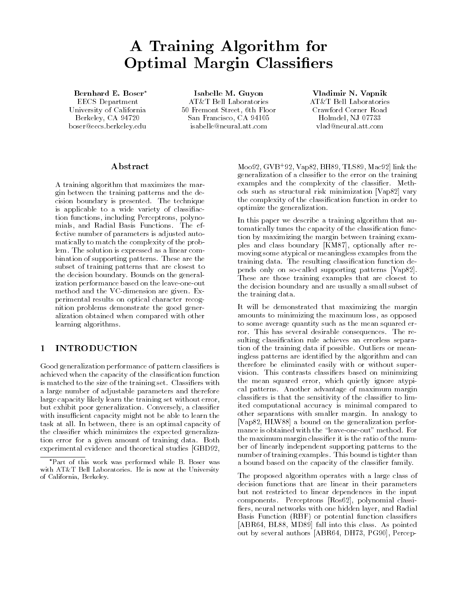# A Training Algorithm for **Optimal Margin Classifiers**

Bernhard E. Boser\* EECS Department University of California  $\blacksquare$  - - - - - , ,  $\cup$  - -  $\cup$  - .  $\lightharpoonup$ boser@eecs.berkeley.edu

Isabelle M. Guyon AT&T Bell Laboratories Fremont Street th Floor san Francisco Ca - Ca - Ca - Ca isabelle@neural.att.com

Vladimir N. Vapnik AT&T Bell Laboratories Crawford Corner Road Holmdel, NJ 07733 vlad@neural.att.com

### Abstract

A training algorithm that maximizes the mar gin between the training patterns and the de cision boundary is presented. The technique is applicable to a wide variety of classifiaction functions, including Perceptrons, polynomials, and Radial Basis Functions. The effective number of parameters is adjusted auto matically to match the complexity of the prob lem. The solution is expressed as a linear combination of supporting patterns These are the subset of training patterns that are closest to the decision boundary. Bounds on the generalization performance based on the leave-one-out method and the VC
dimension are given Ex perimental results on optical character recog nition problems demonstrate the good gener alization obtained when compared with other learning algorithms

# 1 INTRODUCTION

Good generalization performance of pattern classifiers is achieved when the capacity of the classification function is matched to the size of the training set. Classifiers with a large number of adjustable parameters and therefore large capacity likely learn the training set without error but exhibit poor generalization. Conversely, a classifier with insufficient capacity might not be able to learn the task at all. In between, there is an optimal capacity of the classifier which minimizes the expected generalization error for a given amount of training data Both experimental evidence and theoretical studies [GBD92,

Moo92, G V B ' 92, Vapo2, BHo9, TLSo9, Mac92| IInk the generalization of a classifier to the error on the training examples and the complexity of the classifier. Methods such as structural risk minimization [Vap82] vary the complexity of the classification function in order to optimize the generalization

In this paper we describe a training algorithm that au tomatically tunes the capacity of the classification function by maximizing the margin between training exam ples and class boundary [KM87], optionally after removing some atypical or meaningless examples from the training data. The resulting classification function depends only on so
called supporting patterns Vap These are those training examples that are closest to the decision boundary and are usually a small subset of the training data

It will be demonstrated that maximizing the margin amounts to minimizing the maximum loss, as opposed to some average quantity such as the mean squared er ror. This has several desirable consequences. The resulting classification rule achieves an errorless separation of the training data if possible. Outliers or meaningless patterns are identified by the algorithm and can therefore be eliminated easily with or without super vision. This contrasts classifiers based on minimizing the mean squared error, which quietly ignore atypical patterns Another advantage of maximum margin classifiers is that the sensitivity of the classifier to limited computational accuracy is minimal compared to other separations with smaller margin In analogy to [Vap82, HLW88] a bound on the generalization performance is obtained with the "leave-one-out" method. For the maximum margin classifier it is the ratio of the number of linearly independent supporting patterns to the number of training examples. This bound is tighter than a bound based on the capacity of the classifier family.

The proposed algorithm operates with a large class of decision functions that are linear in their parameters but not restricted to linear dependences in the input components Perceptrons Rose and Perceptrons Rose and Perceptrons Rose and Perceptrons Rose and Perceptrons Ros fiers, neural networks with one hidden layer, and Radial Basis Function (RBF) or potential function classifiers ABR - BL MD fall into this class As pointed out by several authors ABR and PG Perception and PG Perception and PG Perception and PG Perception and PG Perce

<sup>\*</sup>Part of this work was performed while B. Boser was with AT&T Bell Laboratories. He is now at the University of California- Berkeley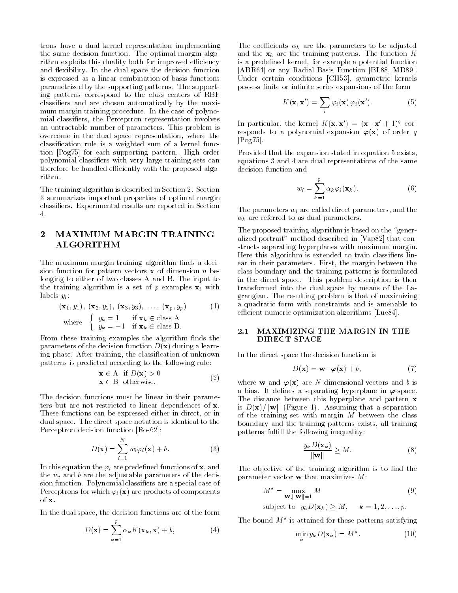trons have a dual kernel representation implementing the same decision function. The optimal margin algorithm exploits this duality both for improved efficiency and flexibility. In the dual space the decision function is expressed as a linear combination of basis functions parametrized by the supporting patterns The support ing patterns correspond to the class centers of RBF classifiers and are chosen automatically by the maximum margin training procedure. In the case of polynomial classifiers, the Perceptron representation involves an untractable number of parameters. This problem is overcome in the dual space representation, where the classification rule is a weighted sum of a kernel function [Pog75] for each supporting pattern. High order polynomial classifiers with very large training sets can therefore be handled efficiently with the proposed algorithm.

The training algorithm is described in Section 2. Section  summarizes important properties of optimal margin classifiers. Experimental results are reported in Section  $4.$ 

## 2 MAXIMUM MARGIN TRAINING ALGORITHM

The maximum margin training algorithm finds a decision function for pattern vectors  $x$  of dimension *n* belonging to either of two classes A and B. The input to the training algorithm is a set of  $p$  examples  $x_i$  with labels  $y_i$ :

$$
(\mathbf{x}_1, y_1), (\mathbf{x}_2, y_2), (\mathbf{x}_3, y_3), \dots, (\mathbf{x}_p, y_p)
$$
\n
$$
\text{where } \begin{cases} y_k = 1 & \text{if } \mathbf{x}_k \in \text{class A} \\ y_k = -1 & \text{if } \mathbf{x}_k \in \text{class B.} \end{cases} \tag{1}
$$

From these training examples the algorithm finds the parameters of the decision function  $D(\mathbf{x})$  during a learning phase. After training, the classification of unknown patterns is predicted according to the following rule

$$
\mathbf{x} \in \mathbf{A} \quad \text{if } D(\mathbf{x}) > 0
$$
  

$$
\mathbf{x} \in \mathbf{B} \quad \text{otherwise.} \tag{2}
$$

The decision functions must be linear in their parame ters but are not restricted to linear dependences of x. These functions can be expressed either in direct, or in dual space The direct space notation is identical to the Perceptron decision function Ros

$$
D(\mathbf{x}) = \sum_{i=1}^{N} w_i \varphi_i(\mathbf{x}) + b.
$$
 (3)

In this equation the  $\varphi_i$  are predefined functions of **x**, and the  $w_i$  and b are the adjustable parameters of the decision function. Polynomial classifiers are a special case of Perceptrons for which  $\varphi_i(\mathbf{x})$  are products of components of  $\mathbf{x}$ .

In the dual space, the decision functions are of the form

$$
D(\mathbf{x}) = \sum_{k=1}^{p} \alpha_k K(\mathbf{x}_k, \mathbf{x}) + b,
$$
 (4)

The coefficients  $\alpha_k$  are the parameters to be adjusted and the  $x_k$  are the training patterns. The function K is a predefined kernel, for example a potential function ABR - or any Radial Basis Function BL MD Under certain conditions [CH53], symmetric kernels possess finite or infinite series expansions of the form

$$
K(\mathbf{x}, \mathbf{x}') = \sum_{i} \varphi_{i}(\mathbf{x}) \varphi_{i}(\mathbf{x}'). \tag{5}
$$

In particular, the kernel  $K(\mathbf{x}, \mathbf{x}) = (\mathbf{x} \cdot \mathbf{x} + 1)^2$  corresponds to a polynomial expansion  $\varphi(\mathbf{x})$  of order q  $[Pog75]$ .

Provided that the expansion stated in equation 5 exists, equations a distribution of the same supposessed in the same control decision function and

$$
w_i = \sum_{k=1}^{p} \alpha_k \varphi_i(\mathbf{x}_k).
$$
 (6)

The parameters  $w_i$  are called direct parameters, and the  $\alpha_k$  are referred to as dual parameters.

The proposed training algorithm is based on the "generalized portrait" method described in [Vap82] that constructs separating hyperplanes with maximum margin Here this algorithm is extended to train classifiers linear in their parameters. First, the margin between the class boundary and the training patterns is formulated in the direct space. This problem description is then transformed into the dual space by means of the La grangian The resulting problem is that of maximizing a quadratic form with constraints and is amenable to ecient numeric optimization algorithms Lue-

#### MAXIMIZING THE MARGIN IN THE  $2.1$ DIRECT SPACE

In the direct space the decision function is

$$
D(\mathbf{x}) = \mathbf{w} \cdot \boldsymbol{\varphi}(\mathbf{x}) + b,\tag{7}
$$

where **w** and  $\varphi(\mathbf{x})$  are N dimensional vectors and b is a bias. It defines a separating hyperplane in  $\varphi$ -space. The distance between this hyperplane and pattern x is  $D(\mathbf{x})/||\mathbf{w}||$  (Figure 1). Assuming that a separation of the training set with margin  $M$  between the class boundary and the training patterns exists, all training patterns fulfill the following inequality:

$$
\frac{y_k D(\mathbf{x}_k)}{\|\mathbf{w}\|} \ge M.
$$
 (8)

The objective of the training algorithm is to find the parameter vector  $\bf{w}$  that maximizes  $M$ :

$$
M^* = \max_{\mathbf{W}, \|\mathbf{W}\| = 1} M \tag{9}
$$

subject to 
$$
y_k D(\mathbf{x}_k) \geq M
$$
,  $k = 1, 2, ..., p$ .

Ine bound *M* is attained for those patterns satisfying

$$
\min_{k} y_{k} D(\mathbf{x}_{k}) = M^{*}.
$$
 (10)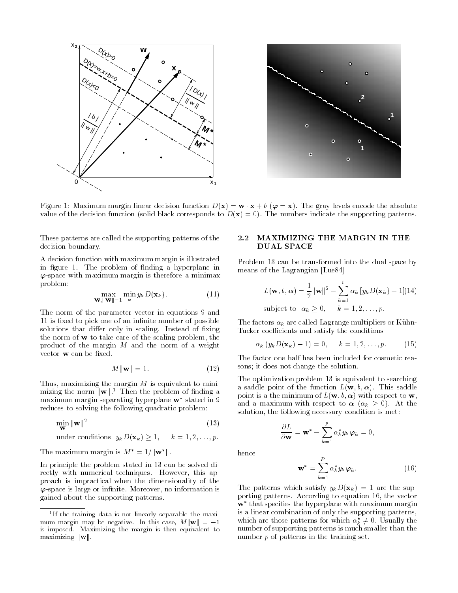



Figure Maximum margin linear decision function Dx w - x <sup>b</sup> x The gray levels encode the absolute value of the decision function (solid black corresponds to  $D(\mathbf{x}) = 0$ ). The numbers indicate the supporting patterns.

These patterns are called the supporting patterns of the decision boundary

A decision function with maximum margin is illustrated in figure 1. The problem of finding a hyperplane in  $\varphi$ -space with maximum margin is therefore a minimax problem

$$
\max_{\mathbf{W}, \|\mathbf{W}\|=1} \min_{k} y_k D(\mathbf{x}_k). \tag{11}
$$

The norm of the parameter vector in equations 9 and 11 is fixed to pick one of an infinite number of possible solutions that differ only in scaling. Instead of fixing the norm of  $w$  to take care of the scaling problem, the product of the margin  $M$  and the norm of a weight vector  $\bf{w}$  can be fixed.

$$
M\|\mathbf{w}\| = 1.\tag{12}
$$

Thus, maximizing the margin  $M$  is equivalent to minimizing the norm  $\|\mathbf{w}\|$ .<sup>1</sup> Then the problem of finding a maximum margin separating hyperplane w stated in reduces to solving the following quadratic problem

$$
\min_{\mathbf{W}} \|\mathbf{w}\|^2 \tag{13}
$$

under conditions  $y_k D(\mathbf{x}_k) > 1$ ,  $k = 1, 2, ..., p$ .

The maximum margin is  $M^* = 1/||\mathbf{w}^*||$ .

In principle the problem stated in 13 can be solved directly with numerical techniques. However, this approach is impractical when the dimensionality of the  $\varphi$ -space is large or infinite. Moreover, no information is gained about the supporting patterns

### 2.2 MAXIMIZING THE MARGIN IN THE DUAL SPACE

Problem 13 can be transformed into the dual space by means of the Lagrangian Lue-

$$
L(\mathbf{w}, b, \alpha) = \frac{1}{2} ||\mathbf{w}||^2 - \sum_{k=1}^p \alpha_k [y_k D(\mathbf{x}_k) - 1](14)
$$
  
subject to  $\alpha_k \ge 0$ ,  $k = 1, 2, ..., p$ .

The factors  $\alpha_k$  are called Lagrange multipliers or Kühn-Tucker coefficients and satisfy the conditions

$$
\alpha_k \left( y_k D(\mathbf{x}_k) - 1 \right) = 0, \quad k = 1, 2, \dots, p. \tag{15}
$$

The factor one half has been included for cosmetic rea sons; it does not change the solution.

The optimization problem 13 is equivalent to searching a saddle point of the function  $L(\mathbf{w}, b, \alpha)$ . This saddle point is a the minimum of  $L(\mathbf{w}, b, \alpha)$  with respect to  $\mathbf{w}$ , and a maximum with respect to  $\alpha$   $(\alpha_k \geq 0)$ . At the solution, the following necessary condition is met:

$$
\frac{\partial L}{\partial \mathbf{w}} = \mathbf{w}^* - \sum_{k=1}^p \alpha_k^* y_k \boldsymbol{\varphi}_k = 0,
$$

hence

$$
\mathbf{w}^* = \sum_{k=1}^P \alpha_k^* y_k \varphi_k.
$$
 (16)

The patterns which satisfy  $y_kD(\mathbf{x}_k) = 1$  are the supporting patterns According to equation the vector  $\bf w$  -that specifies the hyperplane with maximum margin  $\bf w$ is a linear combination of only the supporting patterns which are those patterns for which  $\alpha_k^* \neq 0$ . Usually the number of supporting patterns is much smaller than the number  $p$  of patterns in the training set.

If the training data is not linearly separable the maximum margin may be negative In this case- Mkwk is imposed. Maximizing the margin is then equivalent to maximizing  $\|\mathbf{w}\|$ .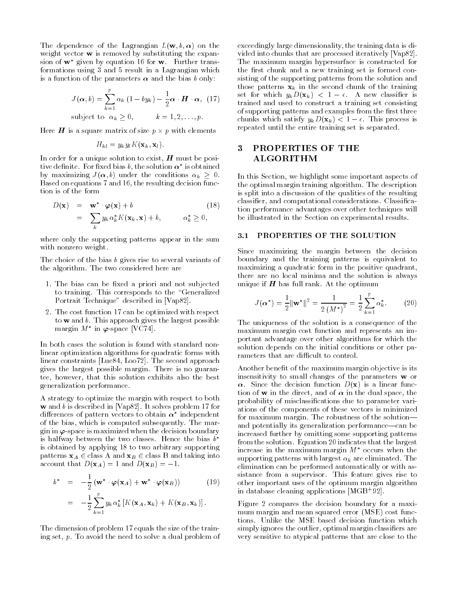The dependence of the Lagrangian  $L(\mathbf{w}, b, \alpha)$  on the weight vector **w** is removed by substituting the expansion of  $w$  –given by equation to for  $w$ . Further transformations using 3 and 5 result in a Lagrangian which is a function of the parameters  $\alpha$  and the bias b only:

$$
J(\boldsymbol{\alpha},b) = \sum_{k=1}^{p} \alpha_k (1 - by_k) - \frac{1}{2} \boldsymbol{\alpha} \cdot \boldsymbol{H} \cdot \boldsymbol{\alpha}, \quad (17)
$$
  
subject to  $\alpha_k \ge 0$ ,  $k = 1, 2, ..., p$ .

Here **H** is a square matrix of size  $p \times p$  with elements

$$
H_{kl} = y_k y_l K(\mathbf{x}_k, \mathbf{x}_l).
$$

In order for a unique solution to exist,  $H$  must be positive definite. For fixed bias  $b$ , the solution  $\alpha$  is obtained by maximizing  $J(\alpha, b)$  under the conditions  $\alpha_k \geq 0$ . Based on equations and the resulting decision func tion is of the form

$$
D(\mathbf{x}) = \mathbf{w}^* \cdot \boldsymbol{\varphi}(\mathbf{x}) + b \qquad (18)
$$
  
= 
$$
\sum_{k} y_k \alpha_k^* K(\mathbf{x}_k, \mathbf{x}) + b, \qquad \alpha_k^* \ge 0,
$$

where only the supporting patterns appear in the sum with nonzero weight

The choice of the bias  $b$  gives rise to several variants of the algorithm. The two considered here are

- 1. The bias can be fixed a priori and not subjected to training. This corresponds to the "Generalized Portrait Technique" described in [Vap82].
- 2. The cost function 17 can be optimized with respect to  $w$  and  $b$ . This approach gives the largest possible  $\max$ gin *M* in  $\varphi$ -space  $|V \cup I4|$ .

In both cases the solution is found with standard non linear optimization algorithms for quadratic forms with linear constraints Lue- Loo The second approach gives the largest possible margin There is no guaran tee, however, that this solution exhibits also the best generalization performance

A strategy to optimize the margin with respect to both w and b is described in [Vap82]. It solves problem 17 for differences of pattern vectors to obtain  $\alpha$  -independent  $\alpha$ of the bias which is computed subsequently The mar gin in  $\varphi$ -space is maximized when the decision boundary is halfway between the two classes. Hence the bias  $\mathfrak b$ is obtained by applying 18 to two arbitrary supporting patterns  $x_A \in$  class A and  $x_B \in$  class B and taking into account that  $D(\mathbf{x}_A) = 1$  and  $D(\mathbf{x}_B) = -1$ .

$$
b^* = -\frac{1}{2} \left( \mathbf{w}^* \cdot \boldsymbol{\varphi}(\mathbf{x}_A) + \mathbf{w}^* \cdot \boldsymbol{\varphi}(\mathbf{x}_B) \right) \tag{19}
$$

$$
= -\frac{1}{2}\sum_{k=1}^p y_k \alpha_k^* \left[ K(\mathbf{x}_A, \mathbf{x}_k) + K(\mathbf{x}_B, \mathbf{x}_k) \right].
$$

The dimension of problem 17 equals the size of the training set,  $p$ . To avoid the need to solve a dual problem of exceedingly large dimensionality the training data is di vided into chunks that are processed iteratively [Vap82]. The maximum margin hypersurface is constructed for the first chunk and a new training set is formed consisting of the supporting patterns from the solution and those patterns  $x_k$  in the second chunk of the training set for which  $y_k D(\mathbf{x}_k) < 1 - \epsilon$ . A new classifier is trained and used to construct a training set consisting of supporting patterns and examples from the first three chunks which satisfy  $y_k D(\mathbf{x}_k) < 1 - \epsilon$ . This process is repeated until the entire training set is separated

### $\bf{3}$  PROPERTIES OF THE ALGORITHM

In this Section, we highlight some important aspects of the optimal margin training algorithm The description is split into a discussion of the qualities of the resulting classifier, and computational considerations. Classification performance advantages over other techniques will be illustrated in the Section on experimental results

#### $3.1$ PROPERTIES OF THE SOLUTION

Since maximizing the margin between the decision boundary and the training patterns is equivalent to maximizing a quadratic form in the positive quadrant there are no local minima and the solution is always unique if  $H$  has full rank. At the optimum

$$
J(\alpha^*) = \frac{1}{2} ||\mathbf{w}^*||^2 = \frac{1}{2 (M^*)^2} = \frac{1}{2} \sum_{k=1}^p \alpha_k^*.
$$
 (20)

The uniqueness of the solution is a consequence of the maximum margin cost function and represents an im portant advantage over other algorithms for which the solution depends on the initial conditions or other pa rameters that are difficult to control.

Another benefit of the maximum margin objective is its insensitivity to small changes of the parameters **w** or  $\alpha$ . Since the decision function  $D(\mathbf{x})$  is a linear function of **w** in the direct, and of  $\alpha$  in the dual space, the probability of misclassifications due to parameter variations of the components of these vectors is minimized for maximum margin. The robustness of the solutionand potentially its generalization performance—can be increased further by omitting some supporting patterns from the solution. Equation 20 indicates that the largest increase in the maximum margin  $M^*$  occurs when the supporting patterns with largest  $\alpha_k$  are eliminated. The elimination can be performed automatically or with as sistance from a supervisor. This feature gives rise to other important uses of the optimum margin algorithm in database cleaning applications MGB

Figure 2 compares the decision boundary for a maximum margin and mean squared error (MSE) cost functions Unlike the MSE based decision function which simply ignores the outlier, optimal margin classifiers are very sensitive to atypical patterns that are close to the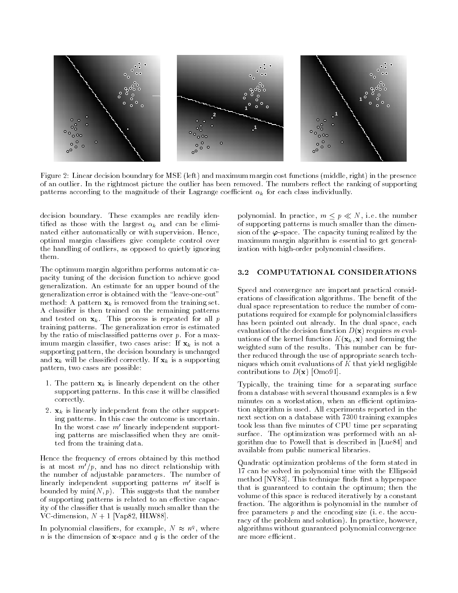

Figure 2: Linear decision boundary for MSE (left) and maximum margin cost functions (middle, right) in the presence of an outlier. In the rightmost picture the outlier has been removed. The numbers reflect the ranking of supporting patterns according to the magnitude of their Lagrange coefficient  $\alpha_k$  for each class individually.

decision boundary. These examples are readily identified as those with the largest  $\alpha_k$  and can be eliminated either automatically or with supervision. Hence, optimal margin classiers give complete control over the handling of outliers as opposed to quietly ignoring them

The optimum margin algorithm performs automatic ca pacity tuning of the decision function to achieve good generalization An estimate for an upper bound of the generalization error is obtained with the "leave-one-out" method: A pattern  $\mathbf{x}_k$  is removed from the training set. A classifier is then trained on the remaining patterns and tested on  $\mathbf{x}_k$ . This process is repeated for all  $p$ training patterns The generalization error is estimated by the ratio of misclassified patterns over  $p$ . For a maximum margin classifier, two cases arise: If  $x_k$  is not a supporting pattern, the decision boundary is unchanged and  $\mathbf{x}_k$  will be classified correctly. If  $\mathbf{x}_k$  is a supporting pattern, two cases are possible:

- 1. The pattern  $x_k$  is linearly dependent on the other supporting patterns. In this case it will be classified correctly
- 2.  $\mathbf{x}_k$  is linearly independent from the other supporting patterns. In this case the outcome is uncertain. In the worst case  $m'$  linearly independent supporting patterns are misclassified when they are omitted from the training data

Hence the frequency of errors obtained by this method is at most  $m'/p$ , and has no direct relationship with the number of adjustable parameters The number of linearly independent supporting patterns  $m'$  itself is bounded by  $\min(N, p)$ . This suggests that the number of supporting patterns is related to an effective capacity of the classifier that is usually much smaller than the VC-dimension,  $N + 1$  [Vap82, HLW88].

In polynomial classifiers, for example,  $N \approx n<sup>4</sup>$ , where n is the dimension of  $\mathbf{x}$ -space and q is the order of the

polynomial. In practice,  $m \leq p \ll N$ , i.e. the number of supporting patterns is much smaller than the dimen sion of the  $\varphi$ -space. The capacity tuning realized by the maximum margin algorithm is essential to get general ization with high-order polynomial classifiers.

#### COMPUTATIONAL CONSIDERATIONS  $3.2$

Speed and convergence are important practical consid erations of classification algorithms. The benefit of the dual space representation to reduce the number of com putations required for example for polynomial classiers has been pointed out already. In the dual space, each evaluation of the decision function  $D(\mathbf{x})$  requires m evaluations of the kernel function  $K(\mathbf{x}_k, \mathbf{x})$  and forming the weighted sum of the results. This number can be further reduced through the use of appropriate search tech niques which omit evaluations of  $K$  that yield negligible contributions to  $D(\mathbf{x})$  [Omo91].

Typically, the training time for a separating surface from a database with several thousand examples is a few minutes on a workstation, when an efficient optimization algorithm is used All experiments reported in the next section on a database with 7300 training examples took less than five minutes of CPU time per separating surface. The optimization was performed with an algorithm due to Powell that is described in Lue-Lue-Lue-Lueavailable from public numerical libraries

Quadratic optimization problems of the form stated in 17 can be solved in polynomial time with the Ellipsoid method [NY83]. This technique finds first a hyperspace that is guaranteed to contain the optimum; then the volume of this space is reduced iteratively by a constant fraction The algorithm is polynomial in the number of free parameters  $p$  and the encoding size (i. e. the accuracy of the problem and solution). In practice, however, algorithms without guaranteed polynomial convergence are more efficient.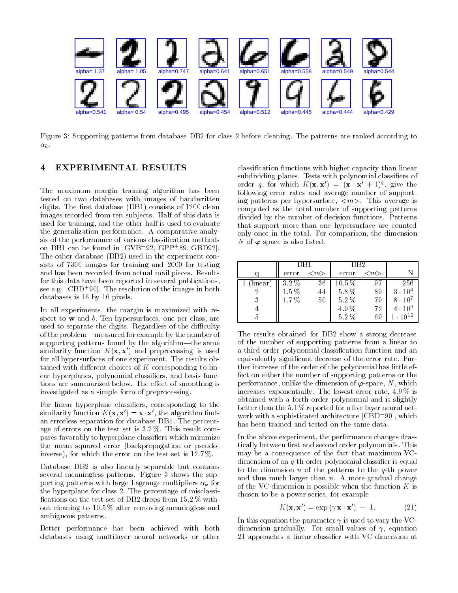

Figure 3: Supporting patterns from database DB2 for class 2 before cleaning. The patterns are ranked according to  $\alpha_k$ .

### EXPERIMENTAL RESULTS

The maximum margin training algorithm has been tested on two databases with images of handwritten digits. The first database  $(DB1)$  consists of 1200 clean images recorded from ten subjects Half of this data is used for training and the other half is used to evaluate the generalization performance A comparative analy sis of the performance of various classification methods on DBI can be found in  $\vert \mathbf{G} \mathbf{V} \mathbf{B} \vert$  92, GPP '89, GBD92]. The other database (DB2) used in the experiment consists of  $7300$  images for training and  $2000$  for testing and has been recorded from actual mail pieces Results for this data have been reported in several publications see e.g.  $\lfloor \text{CDD} \rfloor$  . The resolution of the images in both databases is the contract of the contract of the contract of the contract of the contract of the contract of the contract of the contract of the contract of the contract of the contract of the contract of the contract of t

In all experiments, the margin is maximized with respect to  $w$  and  $b$ . Ten hypersurfaces, one per class, are used to separate the digits. Regardless of the difficulty of the problem—measured for example by the number of supporting patterns found by the algorithm—the same similarity function  $K(\mathbf{x}, \mathbf{x}')$  and preprocessing is used for all hypersurfaces of one experiment. The results obtained with different choices of  $K$  corresponding to linear hyperplanes, polynomial classifiers, and basis functions are summarized below. The effect of smoothing is investigated as a simple form of preprocessing

For linear hyperplane classifiers, corresponding to the similarity function  $K(X, X) = X X$ , the algorithm linds an errorless separation for database DB1. The percentage of errors on the test set is  $3.2\%$ . This result compares favorably to hyperplane classifiers which minimize the mean squared error (backpropagation or pseudoinverse), for which the error on the test set is  $12.7\%$ .

Database DB2 is also linearly separable but contains several meaningless patterns. Figure 3 shows the supporting patterns with large Lagrange multipliers  $\alpha_k$  for the hyperplane for class 2. The percentage of misclassifications on the test set of DB2 drops from  $15.2\%$  without cleaning to  $10.5\%$  after removing meaningless and ambiguous patterns

Better performance has been achieved with both databases using multilayer neural networks or other

classification functions with higher capacity than linear subdividing planes. Tests with polynomial classifiers of order q, for which  $K(X, X) = (X \times X + 1)^2$ , give the following error rates and average number of support ing patterns per hypersurface m- This average is computed as the total number of supporting patterns divided by the number of decision functions Patterns that support more than one hypersurface are counted only once in the total. For comparison, the dimension N of  $\varphi$ -space is also listed.

|         |           |                     | DR <sub>2</sub> |                     |                   |
|---------|-----------|---------------------|-----------------|---------------------|-------------------|
|         | error     | $\langle m \rangle$ | error           | $\langle m \rangle$ |                   |
| linear) | 3.2%      | 36                  | $10.5\,\%$      |                     | 256               |
|         | $1.5\,\%$ | 44                  | $5.8\,\%$       | 89                  | $3 \cdot 10^4$    |
|         | 1.7%      | 50                  | $5.2\,\%$       | 79                  | $8 \cdot 10^{7}$  |
|         |           |                     | 4.9%            | 72                  | $4 \cdot 10^{9}$  |
|         |           |                     | 5.2%            | 69                  | $1 \cdot 10^{12}$ |

The results obtained for DB2 show a strong decrease of the number of supporting patterns from a linear to a third order polynomial classification function and an equivalently significant decrease of the error rate. Further increase of the order of the polynomial has little ef fect on either the number of supporting patterns or the performance, unlike the dimension of  $\varphi$ -space, N, which increases exponentially The lowest error rate - increases exponentially The lowest error rate - increases expo obtained with a forth order polynomial and is slightly better than the  $5.1\%$  reported for a five layer neural network with a sophisticated architecture [CBD + 90], which has been trained and tested on the same data

In the above experiment, the performance changes drastically between first and second order polynomials. This may be a consequence of the fact that maximum VC dimension of an  $q$ -th order polynomial classifier is equal to the dimension  $n$  of the patterns to the  $q$ -th power and thus much larger than  $n$ . A more gradual change of the VC-dimension is possible when the function  $K$  is chosen to be a power series, for example

$$
K(\mathbf{x}, \mathbf{x}') = \exp\left(\gamma \mathbf{x} \cdot \mathbf{x}'\right) - 1. \tag{21}
$$

In this equation the parameter  $\gamma$  is used to vary the VCdimension gradually. For small values of  $\gamma$ , equation 21 approaches a linear classifier with VC-dimension at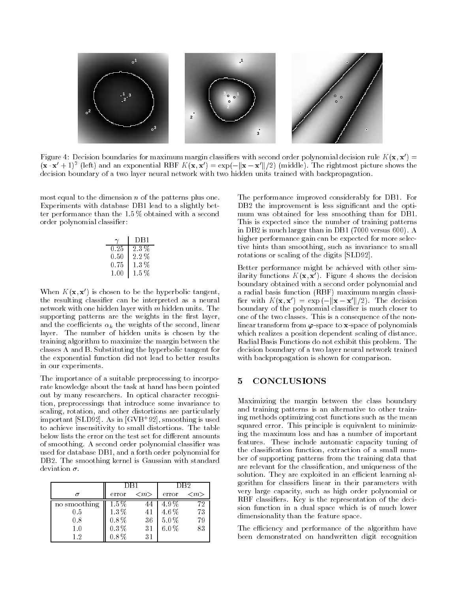

rigure 4. Decision boundaries for maximum margin classifiers with second order polynomial decision rule  $K(X, X) =$  $(\mathbf{x} \cdot \mathbf{x} + 1)^\top$  (left) and an exponential KBF  $K(\mathbf{x}, \mathbf{x}) = \exp(-\|\mathbf{x} - \mathbf{x}\|/2)$  (middle). The rightmost picture shows the decision boundary of a two layer neural network with two hidden units trained with backpropagation.

most equal to the dimension  $n$  of the patterns plus one. Experiments with database DB1 lead to a slightly better performance than the  $1.5\%$  obtained with a second order polynomial classifier:

|      | DB1       |
|------|-----------|
| 0.25 | 23%       |
| 0.50 | 2.2%      |
| 0.75 | $1.3\%$   |
| 1 00 | $1.5\,\%$ |

When  $K(\mathbf{x}, \mathbf{x}')$  is chosen to be the hyperbolic tangent, the resulting classifier can be interpreted as a neural network with one hidden layer with  $m$  hidden units. The supporting patterns are the weights in the first layer, and the coefficients  $\alpha_k$  the weights of the second, linear layer. The number of hidden units is chosen by the training algorithm to maximize the margin between the classes A and B Substituting the hyperbolic tangent for the exponential function did not lead to better results in our experiments

The importance of a suitable preprocessing to incorpo rate knowledge about the task at hand has been pointed out by many researchers. In optical character recognition, preprocessings that introduce some invariance to scaling, rotation, and other distortions are particularly important [SLD92]. As in [GVB'92], smoothing is used to achieve insensitivity to small distortions The table below lists the error on the test set for different amounts of smoothing. A second order polynomial classifier was used for database DB1, and a forth order polynomial for DB2. The smoothing kernel is Gaussian with standard

|              | DB1       |                     | DB2     |                     |
|--------------|-----------|---------------------|---------|---------------------|
|              | error     | $\langle m \rangle$ | error   | $\langle m \rangle$ |
| no smoothing | $1.5\,\%$ | 44                  | 49%     | 72                  |
| $0.5\,$      | 1.3%      | 41                  | 4.6%    | 73                  |
| 0.8          | $0.8\,\%$ | 36                  | 5.0%    | 79                  |
| $1.0\,$      | $0.3\,\%$ | 31                  | $6.0\%$ | 83                  |
| 12           | $0.8\%$   | 31                  |         |                     |

The performance improved considerably for DB1. For DB2 the improvement is less significant and the optimum was obtained for less smoothing than for DB1. This is expected since the number of training patterns in DB is much larger than in DB versus A higher performance gain can be expected for more selec tive hints than smoothing, such as invariance to small rotations or scaling of the digits [SLD92].

Better performance might be achieved with other sim ilarity functions  $K(\mathbf{x},\mathbf{x})$ . Figure 4 shows the decision boundary obtained with a second order polynomial and a radial basis function (RBF) maximum margin classifier with  $K(\mathbf{x}, \mathbf{x}') = \exp(-\|\mathbf{x} - \mathbf{x}'\|/2)$ . The decision boundary of the polynomial classifier is much closer to one of the two classes. This is a consequence of the nonlinear transform from  $\varphi$ -space to x-space of polynomials which realizes a position dependent scaling of distance Radial Basis Functions do not exhibit this problem The decision boundary of a two layer neural network trained with backpropagation is shown for comparison

### 5 CONCLUSIONS

Maximizing the margin between the class boundary and training patterns is an alternative to other training ing methods optimizing cost functions such as the mean squared error. This principle is equivalent to minimizing the maximum loss and has a number of important features These include automatic capacity tuning of the classification function, extraction of a small number of supporting patterns from the training data that are relevant for the classification, and uniqueness of the solution. They are exploited in an efficient learning algorithm for classifiers linear in their parameters with very large capacity, such as high order polynomial or RBF classifiers. Key is the representation of the decision function in a dual space which is of much lower dimensionality than the feature space.

The efficiency and performance of the algorithm have been demonstrated on handwritten digit recognition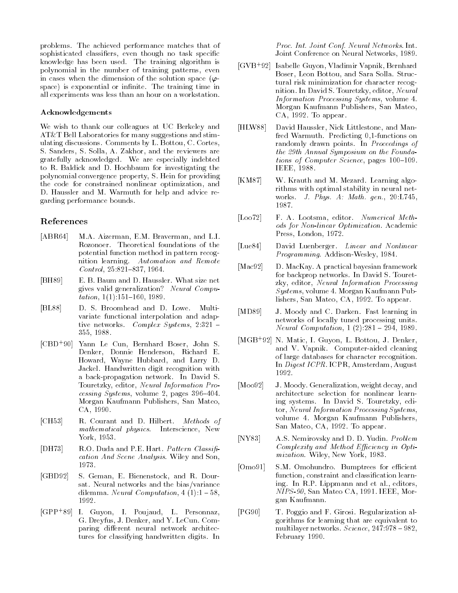problems. The achieved performance matches that of sophisticated classifiers, even though no task specific knowledge has been used. The training algorithm is polynomial in the number of training patterns, even in cases when the dimension of the solution space  $(\varphi$ space) is exponential or infinite. The training time in all experiments was less than an hour on a workstation

### Acknowledgements

We wish to thank our colleagues at UC Berkeley and AT&T Bell Laboratories for many suggestions and stimulating discussions. Comments by L. Bottou, C. Cortes, S. Sanders, S. Solla, A. Zakhor, and the reviewers are gratefully acknowledged. We are especially indebted to R. Baldick and D. Hochbaum for investigating the polynomial convergence property, S. Hein for providing the code for constrained nonlinear optimization, and D. Haussler and M. Warmuth for help and advice regarding performance bounds

# References

- M.A. Aizerman, E.M. Braverman, and L.I. ABR -Rozonoer Theoretical foundations of the potential function method in pattern recog nition learning. Automation and Remote nition learning Automation and Remote Control  -
- [BH89] E. B. Baum and D. Haussler. What size net gives valid generalization! Neural Compu tation is a contract of the contract of the contract of the contract of the contract of the contract of the con
- [BL88] D. S. Broomhead and D. Lowe. Multivariate functional interpolation and adap tive networks. Complex Systems,  $2:321$  -355, 1988.
- $[CBD+90]$ Yann Le Cun, Bernhard Boser, John S. Denker, Donnie Henderson, Richard E. Howard, Wayne Hubbard, and Larry D. Jackel Handwritten digit recognition with a back
propagation network In David S Touretzky, editor, Neural Information Processing System in the system of the contract of the contract of the contract of the contract of the contract of Morgan Kaufmann Publishers, San Mateo, CA, 1990.
- [CH53] R. Courant and D. Hilbert. Methods of mathematical physics. Interscience, New York, 1953.
- [DH73] R.O. Duda and P.E. Hart. Pattern Classification And Scene Analysis. Wiley and Son, 1973.
- [GBD92] S. Geman, E. Bienenstock, and R. Doursat. Neural networks and the bias/variance dilemma Neural Computation - 1992.
- |GPP | O9|| I. Guyon, I. Poujaud, L. Personnaz, G. Dreyfus, J. Denker, and Y. LeCun. Comparing different neural network architectures for classifying handwritten digits In

Proc- Int- Joint Conf- Neural Networks Int Joint Conference on Neural Networks, 1989.

- GVB Isabelle Guyon Vladimir Vapnik Bernhard Boser, Leon Bottou, and Sara Solla. Structural risk minimization for character recog nition. In David S. Touretzky, editor, Neural Information Processing Systems volume - Morgan Kaufmann Publishers, San Mateo,  $CA, 1992.$  To appear.
- [HLW88] David Haussler, Nick Littlestone, and Manfred Warmuth. Predicting 0,1-functions on randomly drawn points. In Proceedings of the 29th Annual Symposium on the Foundations of Computer Science, pages  $100-109$ . IEEE, 1988.
- [KM87] W. Krauth and M. Mezard. Learning algorithms with optimal stability in neural net works a mathematic service of the most of the service of the service of the service of the service of the service of the service of the service of the service of the service of the service of the service of the service of 1987.
- [Loo72] F. A. Lootsma, editor. Numerical Methods for Non-linear Optimization. Academic Press, London, 1972.
- $[Lue84]$ David Luenberger. Linear and Nonlinear Programming Addison
Wesley -
- [Mac92] D. MacKay. A practical bayesian framework for backprop networks. In David S. Touretzky, editor, Neural Information Processing Systems volume - Morgan Kaufmann Pub lishers, San Mateo, CA, 1992. To appear.
- [MD89] J. Moody and C. Darken. Fast learning in networks of locally tuned processing units Neural Computation -
- |MGB | 92| N. Matic, I. Guyon, L. Bottou, J. Denker, and V. Vapnik. Computer-aided cleaning of large databases for character recognition In *Digest ICPR*. ICPR, Amsterdam, August 1992.
- [Moo92] J. Moody. Generalization, weight decay, and architecture selection for nonlinear learn ing systems. In David S. Touretzky, editor, Neural Information Processing Systems, volume - Morgan Kaufmann Publishers San Mateo, CA, 1992. To appear.
- [NY83] A.S. Nemirovsky and D. D. Yudin. *Problem*  $Complexity$  and Method Efficiency in Optimization. Wiley, New York, 1983.
- [Omo91] S.M. Omohundro. Bumptrees for efficient function, constraint and classification learning In R.P. Lippmann and et al., editors,  $NIPS 90$ , San Mateo CA, 1991. IEEE, Morgan Kaufmann
- $[PG90]$ T. Poggio and F. Girosi. Regularization algorithms for learning that are equivalent to multipart multipart in the state of the set of the set of the set of the set of the set of the set of the set February 1990.